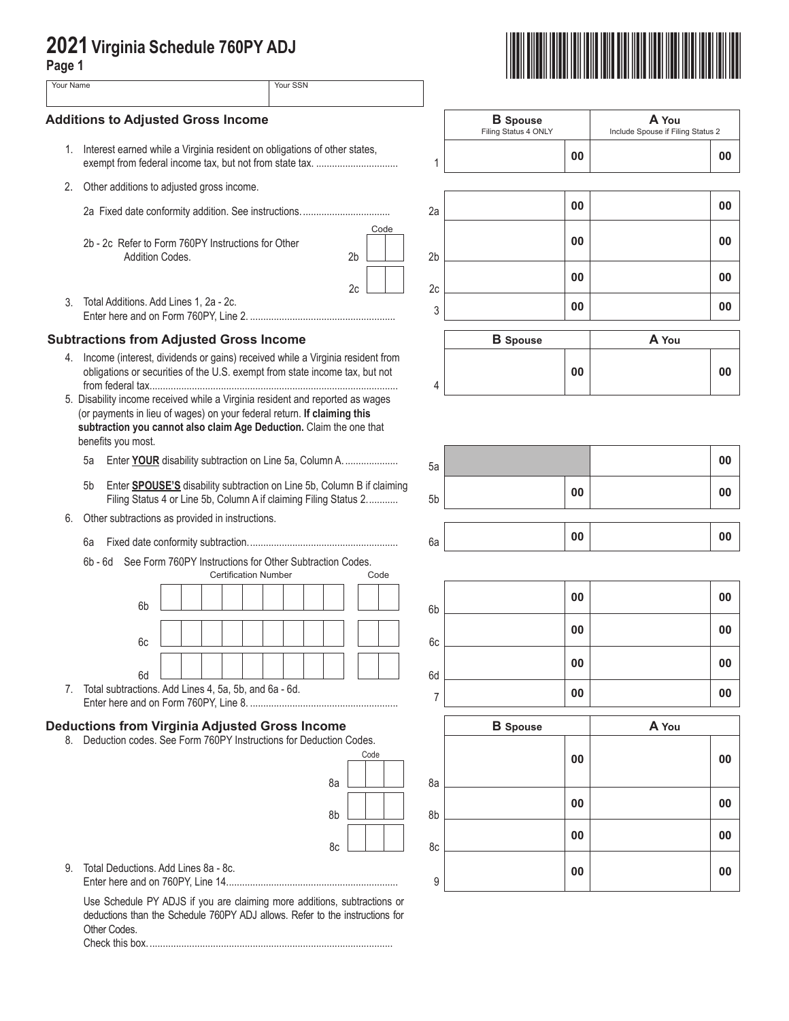## **2021 Virginia Schedule 760PY ADJ**

| ۰.<br>. .<br>۰.<br>×<br>× |  |
|---------------------------|--|
|                           |  |

| Page 1                                    | 2021 Virginia Schedule 760PY ADJ                                                                                                                                                                                                                      |                |                                         |                                            |
|-------------------------------------------|-------------------------------------------------------------------------------------------------------------------------------------------------------------------------------------------------------------------------------------------------------|----------------|-----------------------------------------|--------------------------------------------|
| Your Name                                 | Your SSN                                                                                                                                                                                                                                              |                |                                         |                                            |
| <b>Additions to Adjusted Gross Income</b> |                                                                                                                                                                                                                                                       |                | <b>B</b> Spouse<br>Filing Status 4 ONLY | A You<br>Include Spouse if Filing Status 2 |
|                                           | 1. Interest earned while a Virginia resident on obligations of other states,                                                                                                                                                                          | 1              | 00                                      | 00                                         |
| 2.                                        | Other additions to adjusted gross income.                                                                                                                                                                                                             |                |                                         |                                            |
|                                           |                                                                                                                                                                                                                                                       | 2a             | 00                                      | 00                                         |
|                                           | Code<br>2b - 2c Refer to Form 760PY Instructions for Other<br>Addition Codes.<br>2 <sub>b</sub>                                                                                                                                                       | 2 <sub>b</sub> | 00                                      | 00                                         |
|                                           | 2c                                                                                                                                                                                                                                                    | 2c             | 00                                      | 00                                         |
| 3.                                        | Total Additions. Add Lines 1, 2a - 2c.                                                                                                                                                                                                                | 3              | 00                                      | 00                                         |
|                                           | <b>Subtractions from Adjusted Gross Income</b>                                                                                                                                                                                                        |                | <b>B</b> Spouse                         | A You                                      |
|                                           | 4. Income (interest, dividends or gains) received while a Virginia resident from                                                                                                                                                                      |                |                                         |                                            |
|                                           | obligations or securities of the U.S. exempt from state income tax, but not                                                                                                                                                                           | 4              | 00                                      | 00                                         |
|                                           | 5. Disability income received while a Virginia resident and reported as wages<br>(or payments in lieu of wages) on your federal return. If claiming this<br>subtraction you cannot also claim Age Deduction. Claim the one that<br>benefits you most. |                |                                         |                                            |
|                                           | Enter YOUR disability subtraction on Line 5a, Column A.<br>5a                                                                                                                                                                                         | 5a             |                                         | 00                                         |
|                                           | Enter SPOUSE'S disability subtraction on Line 5b, Column B if claiming<br>5b<br>Filing Status 4 or Line 5b, Column A if claiming Filing Status 2                                                                                                      | 5b             | 00                                      | 00                                         |
| 6.                                        | Other subtractions as provided in instructions.                                                                                                                                                                                                       |                |                                         |                                            |
|                                           | 6a                                                                                                                                                                                                                                                    | 6a             | 00                                      | 00                                         |
|                                           | 6b - 6d See Form 760PY Instructions for Other Subtraction Codes.<br><b>Certification Number</b><br>Code                                                                                                                                               |                |                                         |                                            |
|                                           | 6 <sub>b</sub>                                                                                                                                                                                                                                        | 6b             | 00                                      | 00                                         |
|                                           |                                                                                                                                                                                                                                                       |                | 00                                      | 00                                         |
|                                           | 6c                                                                                                                                                                                                                                                    | 6c             | 00                                      | 00                                         |
|                                           | 6d<br>7. Total subtractions. Add Lines 4, 5a, 5b, and 6a - 6d.                                                                                                                                                                                        | 6d             | 00                                      | 00                                         |
|                                           |                                                                                                                                                                                                                                                       | $\overline{7}$ |                                         |                                            |
| 8.                                        | <b>Deductions from Virginia Adjusted Gross Income</b><br>Deduction codes. See Form 760PY Instructions for Deduction Codes.                                                                                                                            |                | <b>B</b> Spouse                         | A You                                      |
|                                           | Code                                                                                                                                                                                                                                                  |                | 00                                      | 00                                         |
|                                           | 8a                                                                                                                                                                                                                                                    | 8a             |                                         |                                            |
|                                           | 8b                                                                                                                                                                                                                                                    | 8b             | 00                                      | 00                                         |
|                                           | 8c                                                                                                                                                                                                                                                    | 8c             | 00                                      | 00                                         |
| 9.                                        | Total Deductions, Add Lines 8a - 8c.                                                                                                                                                                                                                  | 9              | 00                                      | 00                                         |
|                                           | Use Schedule PY ADJS if you are claiming more additions, subtractions or<br>deductions than the Schedule 760PY ADJ allows. Refer to the instructions for<br>Other Codes.                                                                              |                |                                         |                                            |